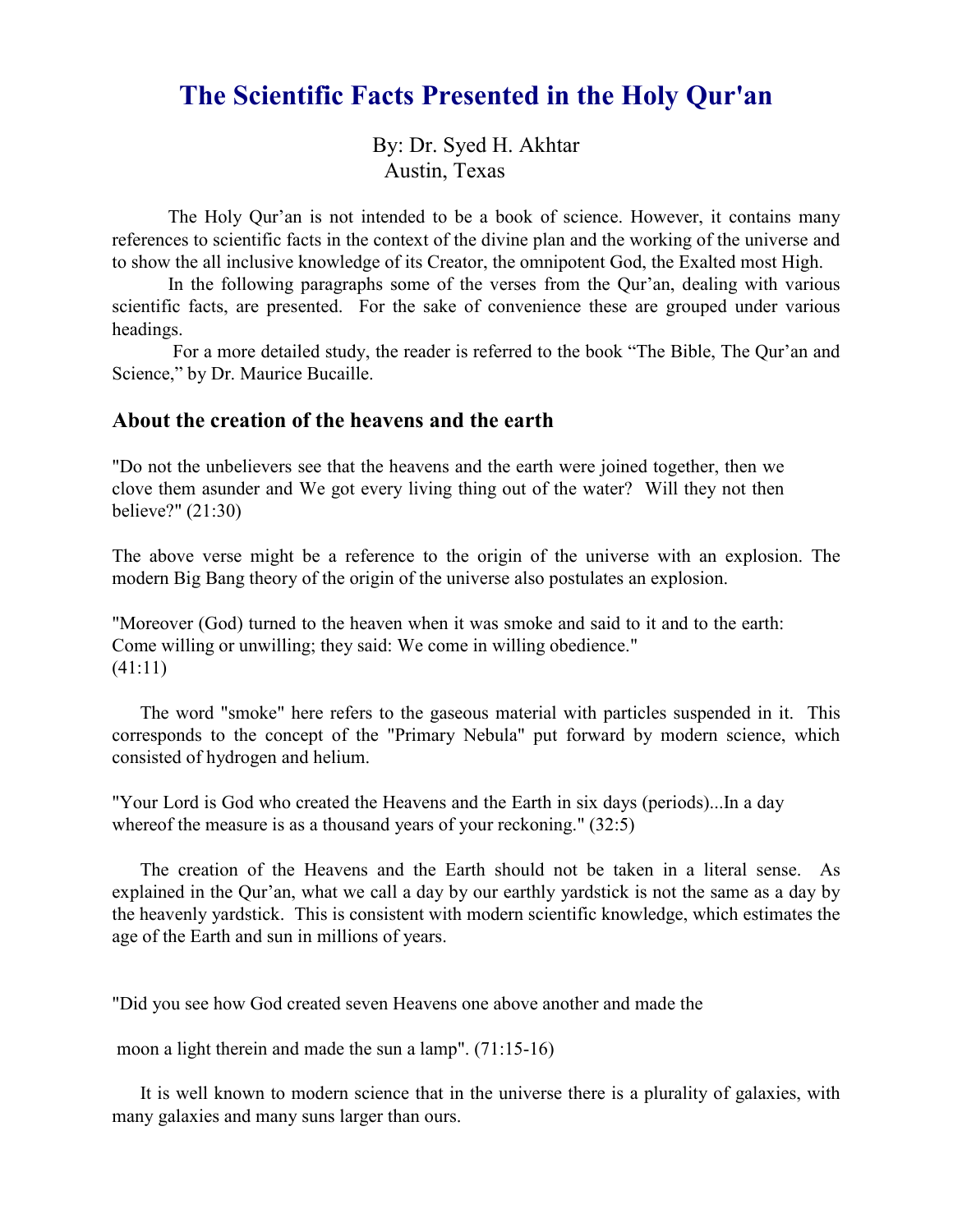# The Scientific Facts Presented in the Holy Qur'an

By: Dr. Syed H. Akhtar Austin, Texas

The Holy Qur'an is not intended to be a book of science. However, it contains many references to scientific facts in the context of the divine plan and the working of the universe and to show the all inclusive knowledge of its Creator, the omnipotent God, the Exalted most High.

In the following paragraphs some of the verses from the Qur'an, dealing with various scientific facts, are presented. For the sake of convenience these are grouped under various headings.

 For a more detailed study, the reader is referred to the book "The Bible, The Qur'an and Science," by Dr. Maurice Bucaille.

## About the creation of the heavens and the earth

"Do not the unbelievers see that the heavens and the earth were joined together, then we clove them asunder and We got every living thing out of the water? Will they not then believe?" (21:30)

The above verse might be a reference to the origin of the universe with an explosion. The modern Big Bang theory of the origin of the universe also postulates an explosion.

"Moreover (God) turned to the heaven when it was smoke and said to it and to the earth: Come willing or unwilling; they said: We come in willing obedience." (41:11)

The word "smoke" here refers to the gaseous material with particles suspended in it. This corresponds to the concept of the "Primary Nebula" put forward by modern science, which consisted of hydrogen and helium.

"Your Lord is God who created the Heavens and the Earth in six days (periods)...In a day whereof the measure is as a thousand years of your reckoning." (32:5)

The creation of the Heavens and the Earth should not be taken in a literal sense. As explained in the Qur'an, what we call a day by our earthly yardstick is not the same as a day by the heavenly yardstick. This is consistent with modern scientific knowledge, which estimates the age of the Earth and sun in millions of years.

"Did you see how God created seven Heavens one above another and made the

moon a light therein and made the sun a lamp". (71:15-16)

It is well known to modern science that in the universe there is a plurality of galaxies, with many galaxies and many suns larger than ours.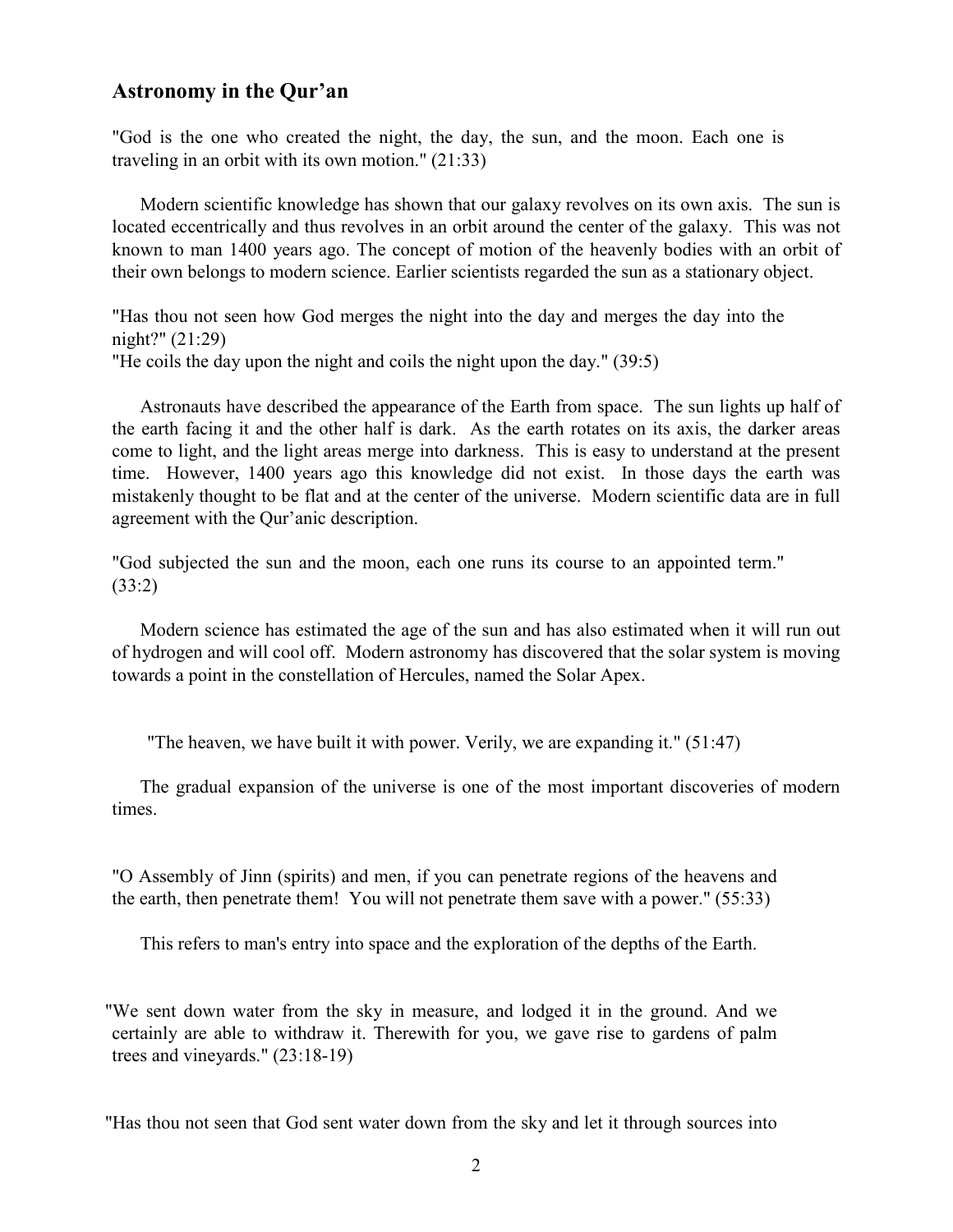## Astronomy in the Qur'an

"God is the one who created the night, the day, the sun, and the moon. Each one is traveling in an orbit with its own motion." (21:33)

 Modern scientific knowledge has shown that our galaxy revolves on its own axis. The sun is located eccentrically and thus revolves in an orbit around the center of the galaxy. This was not known to man 1400 years ago. The concept of motion of the heavenly bodies with an orbit of their own belongs to modern science. Earlier scientists regarded the sun as a stationary object.

"Has thou not seen how God merges the night into the day and merges the day into the night?" (21:29) "He coils the day upon the night and coils the night upon the day." (39:5)

Astronauts have described the appearance of the Earth from space. The sun lights up half of the earth facing it and the other half is dark. As the earth rotates on its axis, the darker areas come to light, and the light areas merge into darkness. This is easy to understand at the present time. However, 1400 years ago this knowledge did not exist. In those days the earth was mistakenly thought to be flat and at the center of the universe. Modern scientific data are in full agreement with the Qur'anic description.

"God subjected the sun and the moon, each one runs its course to an appointed term." (33:2)

Modern science has estimated the age of the sun and has also estimated when it will run out of hydrogen and will cool off. Modern astronomy has discovered that the solar system is moving towards a point in the constellation of Hercules, named the Solar Apex.

"The heaven, we have built it with power. Verily, we are expanding it." (51:47)

The gradual expansion of the universe is one of the most important discoveries of modern times.

"O Assembly of Jinn (spirits) and men, if you can penetrate regions of the heavens and the earth, then penetrate them! You will not penetrate them save with a power." (55:33)

This refers to man's entry into space and the exploration of the depths of the Earth.

"We sent down water from the sky in measure, and lodged it in the ground. And we certainly are able to withdraw it. Therewith for you, we gave rise to gardens of palm trees and vineyards." (23:18-19)

"Has thou not seen that God sent water down from the sky and let it through sources into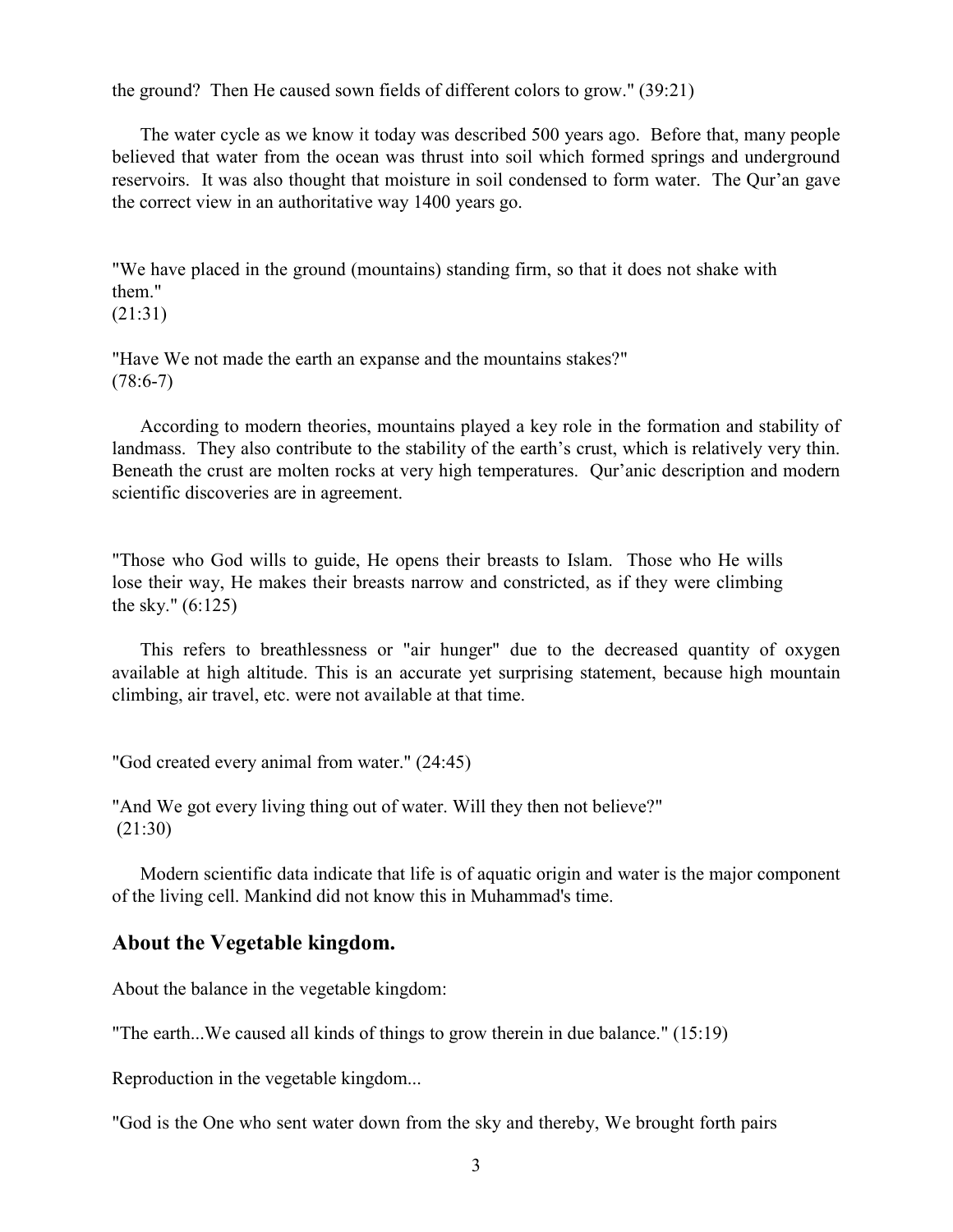the ground? Then He caused sown fields of different colors to grow." (39:21)

The water cycle as we know it today was described 500 years ago. Before that, many people believed that water from the ocean was thrust into soil which formed springs and underground reservoirs. It was also thought that moisture in soil condensed to form water. The Qur'an gave the correct view in an authoritative way 1400 years go.

"We have placed in the ground (mountains) standing firm, so that it does not shake with them."

```
(21:31)
```
"Have We not made the earth an expanse and the mountains stakes?"  $(78:6-7)$ 

According to modern theories, mountains played a key role in the formation and stability of landmass. They also contribute to the stability of the earth's crust, which is relatively very thin. Beneath the crust are molten rocks at very high temperatures. Qur'anic description and modern scientific discoveries are in agreement.

"Those who God wills to guide, He opens their breasts to Islam. Those who He wills lose their way, He makes their breasts narrow and constricted, as if they were climbing the sky." (6:125)

This refers to breathlessness or "air hunger" due to the decreased quantity of oxygen available at high altitude. This is an accurate yet surprising statement, because high mountain climbing, air travel, etc. were not available at that time.

"God created every animal from water." (24:45)

"And We got every living thing out of water. Will they then not believe?" (21:30)

Modern scientific data indicate that life is of aquatic origin and water is the major component of the living cell. Mankind did not know this in Muhammad's time.

## About the Vegetable kingdom.

About the balance in the vegetable kingdom:

"The earth...We caused all kinds of things to grow therein in due balance." (15:19)

Reproduction in the vegetable kingdom...

"God is the One who sent water down from the sky and thereby, We brought forth pairs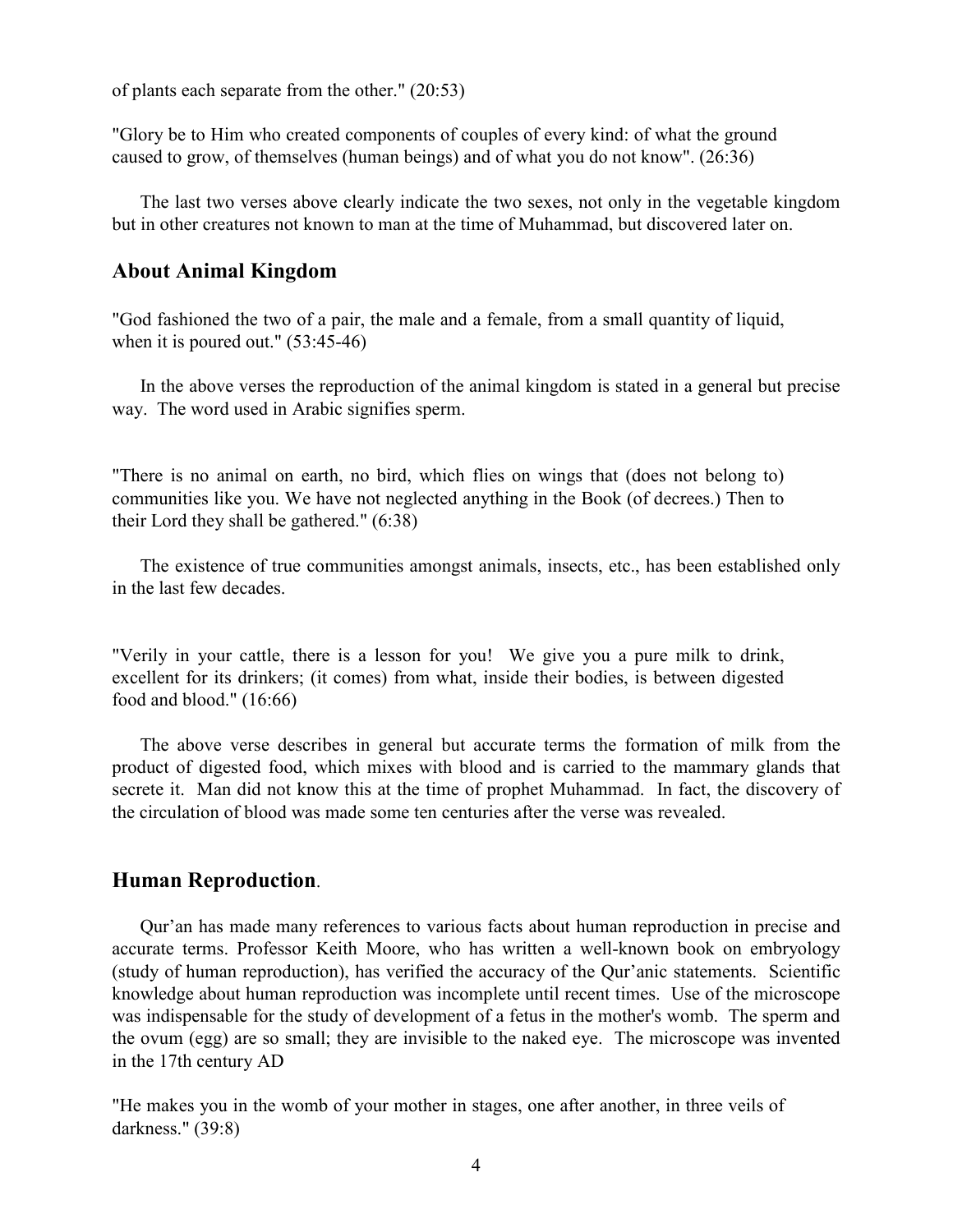of plants each separate from the other." (20:53)

"Glory be to Him who created components of couples of every kind: of what the ground caused to grow, of themselves (human beings) and of what you do not know". (26:36)

The last two verses above clearly indicate the two sexes, not only in the vegetable kingdom but in other creatures not known to man at the time of Muhammad, but discovered later on.

#### About Animal Kingdom

"God fashioned the two of a pair, the male and a female, from a small quantity of liquid, when it is poured out." (53:45-46)

In the above verses the reproduction of the animal kingdom is stated in a general but precise way. The word used in Arabic signifies sperm.

"There is no animal on earth, no bird, which flies on wings that (does not belong to) communities like you. We have not neglected anything in the Book (of decrees.) Then to their Lord they shall be gathered." (6:38)

The existence of true communities amongst animals, insects, etc., has been established only in the last few decades.

"Verily in your cattle, there is a lesson for you! We give you a pure milk to drink, excellent for its drinkers; (it comes) from what, inside their bodies, is between digested food and blood." (16:66)

The above verse describes in general but accurate terms the formation of milk from the product of digested food, which mixes with blood and is carried to the mammary glands that secrete it. Man did not know this at the time of prophet Muhammad. In fact, the discovery of the circulation of blood was made some ten centuries after the verse was revealed.

#### Human Reproduction.

Qur'an has made many references to various facts about human reproduction in precise and accurate terms. Professor Keith Moore, who has written a well-known book on embryology (study of human reproduction), has verified the accuracy of the Qur'anic statements. Scientific knowledge about human reproduction was incomplete until recent times. Use of the microscope was indispensable for the study of development of a fetus in the mother's womb. The sperm and the ovum (egg) are so small; they are invisible to the naked eye. The microscope was invented in the 17th century AD

"He makes you in the womb of your mother in stages, one after another, in three veils of darkness." (39:8)